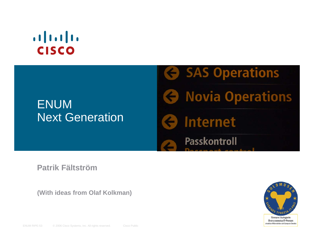# $\left| \cdot \right| \left| \cdot \right| \left| \cdot \right|$ **CISCO**

#### ENUM Next Generation

**G** SAS Operations **G** Novia Operations **G** Internet Passkontroll

#### **Patrik Fältström**

**(With ideas from Olaf Kolkman)**

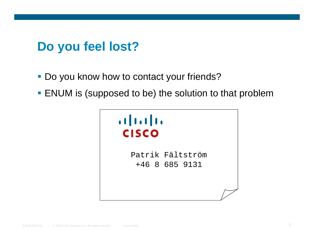## **Do you feel lost?**

- **Do you know how to contact your friends?**
- **ENUM** is (supposed to be) the solution to that problem

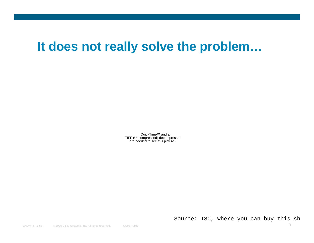#### **It does not really solve the problem…**

QuickTime™ and a TIFF (Uncompressed) decompressor are needed to see this picture.

Source: ISC, where you can buy this sh

ENUM RIPE-53© 2006 Cisco Systems, Inc. All rights reserved. Cisco Public 3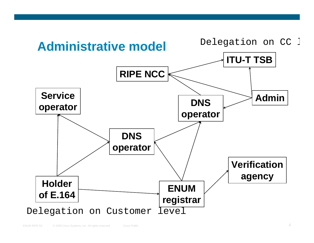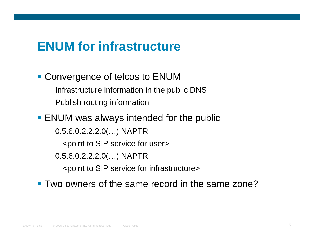#### **ENUM for infrastructure**

**Convergence of telcos to ENUM** Infrastructure information in the public DNS Publish routing information

**ENUM was always intended for the public** 0.5.6.0.2.2.2.0(…) NAPTR <point to SIP service for user> 0.5.6.0.2.2.2.0(…) NAPTR <point to SIP service for infrastructure>

Two owners of the same record in the same zone?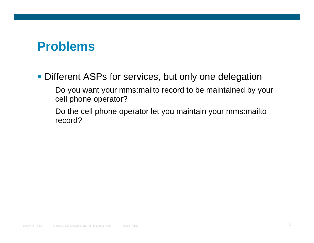#### **Problems**

**Different ASPs for services, but only one delegation** 

Do you want your mms:mailto record to be maintained by your cell phone operator?

Do the cell phone operator let you maintain your mms:mailto record?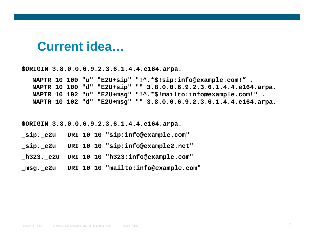#### **Current idea…**

**\$ORIGIN 3.8.0.0.6.9.2.3.6.1.4.4.e164.arpa.**

**NAPTR 10 100 "u" "E2U+sip" "!^.\*\$!sip:info@example.com!" . NAPTR 10 100 "d" "E2U+sip" "" 3.8.0.0.6.9.2.3.6.1.4.4.e164.arpa. NAPTR 10 102 "u" "E2U+msg" "!^.\*\$!mailto:info@example.com!" . NAPTR 10 102 "d" "E2U+msg" "" 3.8.0.0.6.9.2.3.6.1.4.4.e164.arpa.**

**\$ORIGIN 3.8.0.0.6.9.2.3.6.1.4.4.e164.arpa.**

- **\_sip.\_e2u URI 10 10 "sip:info@example.com"**
- **\_sip.\_e2u URI 10 10 "sip:info@example2.net"**
- **\_h323.\_e2u URI 10 10 "h323:info@example.com"**
- **\_msg.\_e2u URI 10 10 "mailto:info@example.com"**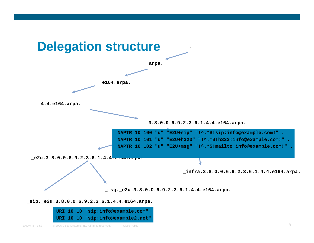

**\_sip.\_e2u.3.8.0.0.6.9.2.3.6.1.4.4.e164.arpa.**

| URI 10 10 "sip:info@example.com"  |
|-----------------------------------|
| URI 10 10 "sip:info@example2.net" |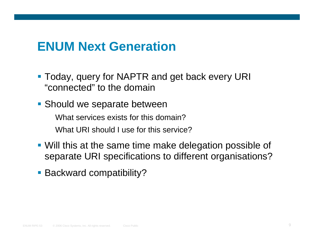### **ENUM Next Generation**

- **Today, query for NAPTR and get back every URI** "connected" to the domain
- **Should we separate between**

What services exists for this domain?What URI should Luse for this service?

- Will this at the same time make delegation possible of separate URI specifications to different organisations?
- **Backward compatibility?**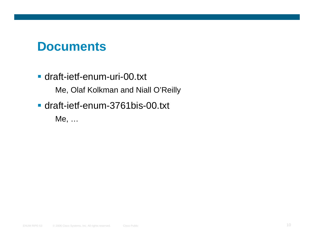#### **Documents**

draft-ietf-enum-uri-00.txt

Me, Olaf Kolkman and Niall O'Reilly

draft-ietf-enum-3761bis-00.txt

Me, …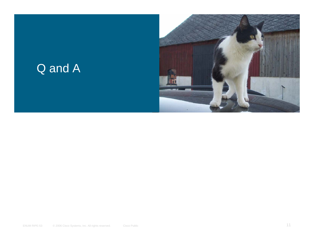### Q and A